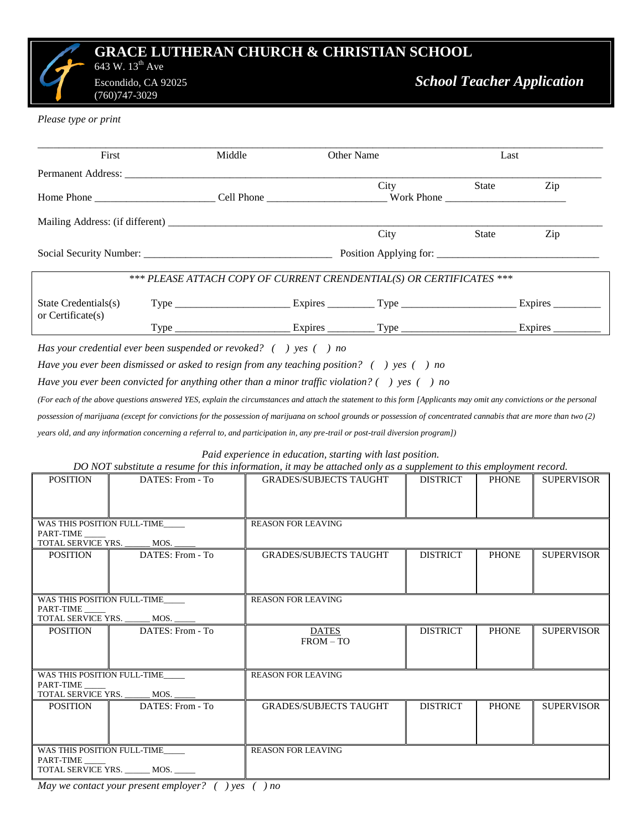## **GRACE LUTHERAN CHURCH & CHRISTIAN SCHOOL** 643 W.  $13^{\text{th}}$  Ave

(760)747-3029

*Please type or print*

| First                                             |                                                                                                                                                                     | Middle                                                               | Other Name                    |               |                 | Last               |                   |  |
|---------------------------------------------------|---------------------------------------------------------------------------------------------------------------------------------------------------------------------|----------------------------------------------------------------------|-------------------------------|---------------|-----------------|--------------------|-------------------|--|
|                                                   |                                                                                                                                                                     |                                                                      |                               |               |                 |                    |                   |  |
|                                                   |                                                                                                                                                                     |                                                                      |                               | City<br>State |                 |                    | Zip               |  |
|                                                   |                                                                                                                                                                     |                                                                      |                               |               |                 |                    |                   |  |
|                                                   |                                                                                                                                                                     |                                                                      |                               | City          |                 | State              | Zip               |  |
|                                                   |                                                                                                                                                                     |                                                                      |                               |               |                 |                    |                   |  |
|                                                   |                                                                                                                                                                     | *** PLEASE ATTACH COPY OF CURRENT CRENDENTIAL(S) OR CERTIFICATES *** |                               |               |                 |                    |                   |  |
| State Credentials(s)                              |                                                                                                                                                                     |                                                                      |                               |               |                 | Expires<br>Expires |                   |  |
| or Certificate(s)                                 |                                                                                                                                                                     |                                                                      |                               |               |                 |                    |                   |  |
|                                                   | Has your credential ever been suspended or revoked? $($ $)$ yes $($ $)$ no                                                                                          |                                                                      |                               |               |                 |                    |                   |  |
|                                                   | Have you ever been dismissed or asked to resign from any teaching position? () yes () no                                                                            |                                                                      |                               |               |                 |                    |                   |  |
|                                                   | Have you ever been convicted for anything other than a minor traffic violation? () yes () no                                                                        |                                                                      |                               |               |                 |                    |                   |  |
|                                                   | (For each of the above questions answered YES, explain the circumstances and attach the statement to this form [Applicants may omit any convictions or the personal |                                                                      |                               |               |                 |                    |                   |  |
|                                                   | possession of marijuana (except for convictions for the possession of marijuana on school grounds or possession of concentrated cannabis that are more than two (2) |                                                                      |                               |               |                 |                    |                   |  |
|                                                   | years old, and any information concerning a referral to, and participation in, any pre-trail or post-trail diversion program])                                      |                                                                      |                               |               |                 |                    |                   |  |
|                                                   |                                                                                                                                                                     |                                                                      |                               |               |                 |                    |                   |  |
|                                                   | DO NOT substitute a resume for this information, it may be attached only as a supplement to this employment record.                                                 | Paid experience in education, starting with last position.           |                               |               |                 |                    |                   |  |
| <b>POSITION</b>                                   | DATES: From - To                                                                                                                                                    |                                                                      | <b>GRADES/SUBJECTS TAUGHT</b> |               | <b>DISTRICT</b> | <b>PHONE</b>       | <b>SUPERVISOR</b> |  |
|                                                   |                                                                                                                                                                     |                                                                      |                               |               |                 |                    |                   |  |
|                                                   |                                                                                                                                                                     |                                                                      |                               |               |                 |                    |                   |  |
| PART-TIME                                         | WAS THIS POSITION FULL-TIME                                                                                                                                         |                                                                      | REASON FOR LEAVING            |               |                 |                    |                   |  |
| TOTAL SERVICE YRS. ______ MOS.<br><b>POSITION</b> | DATES: From - To                                                                                                                                                    |                                                                      | <b>GRADES/SUBJECTS TAUGHT</b> |               | <b>DISTRICT</b> | <b>PHONE</b>       | <b>SUPERVISOR</b> |  |
|                                                   |                                                                                                                                                                     |                                                                      |                               |               |                 |                    |                   |  |
|                                                   |                                                                                                                                                                     |                                                                      |                               |               |                 |                    |                   |  |
| WAS THIS POSITION FULL-TIME<br>PART-TIME _        |                                                                                                                                                                     |                                                                      | <b>REASON FOR LEAVING</b>     |               |                 |                    |                   |  |
| TOTAL SERVICE YRS.                                | MOS.                                                                                                                                                                |                                                                      |                               |               |                 |                    |                   |  |
| <b>POSITION</b>                                   | DATES: From - To                                                                                                                                                    |                                                                      | <b>DATES</b><br>$FROM - TO$   |               | <b>DISTRICT</b> | <b>PHONE</b>       | <b>SUPERVISOR</b> |  |
|                                                   |                                                                                                                                                                     |                                                                      |                               |               |                 |                    |                   |  |
| WAS THIS POSITION FULL-TIME<br>PART-TIME          |                                                                                                                                                                     |                                                                      | <b>REASON FOR LEAVING</b>     |               |                 |                    |                   |  |
| TOTAL SERVICE YRS.                                | MOS.                                                                                                                                                                |                                                                      |                               |               |                 |                    |                   |  |
| <b>POSITION</b>                                   | DATES: From - To                                                                                                                                                    |                                                                      | <b>GRADES/SUBJECTS TAUGHT</b> |               | <b>DISTRICT</b> | <b>PHONE</b>       | <b>SUPERVISOR</b> |  |
|                                                   |                                                                                                                                                                     |                                                                      |                               |               |                 |                    |                   |  |
| WAS THIS POSITION FULL-TIME                       |                                                                                                                                                                     |                                                                      | <b>REASON FOR LEAVING</b>     |               |                 |                    |                   |  |
| PART-TIME                                         | TOTAL SERVICE YRS. ______ MOS. ____                                                                                                                                 |                                                                      |                               |               |                 |                    |                   |  |

*May we contact your present employer? ( ) yes ( ) no*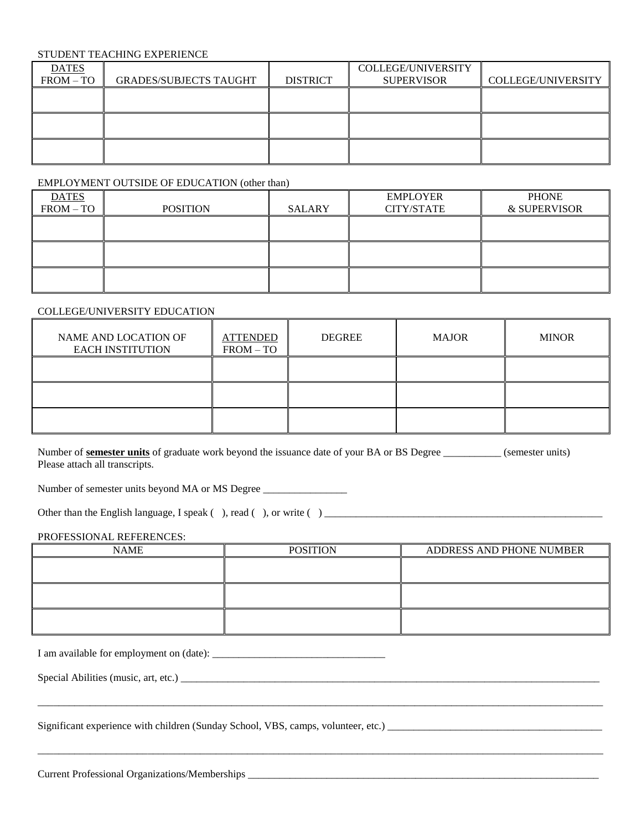### STUDENT TEACHING EXPERIENCE

| <b>DATES</b> |                               |                 | COLLEGE/UNIVERSITY |                    |
|--------------|-------------------------------|-----------------|--------------------|--------------------|
| $FROM - TO$  | <b>GRADES/SUBJECTS TAUGHT</b> | <b>DISTRICT</b> | <b>SUPERVISOR</b>  | COLLEGE/UNIVERSITY |
|              |                               |                 |                    |                    |
|              |                               |                 |                    |                    |
|              |                               |                 |                    |                    |
|              |                               |                 |                    |                    |
|              |                               |                 |                    |                    |
|              |                               |                 |                    |                    |

#### EMPLOYMENT OUTSIDE OF EDUCATION (other than)

| <b>DATES</b> |                 |               | <b>EMPLOYER</b> | <b>PHONE</b> |
|--------------|-----------------|---------------|-----------------|--------------|
| $FROM - TO$  | <b>POSITION</b> | <b>SALARY</b> | CITY/STATE      | & SUPERVISOR |
|              |                 |               |                 |              |
|              |                 |               |                 |              |
|              |                 |               |                 |              |
|              |                 |               |                 |              |
|              |                 |               |                 |              |
|              |                 |               |                 |              |

#### COLLEGE/UNIVERSITY EDUCATION

| NAME AND LOCATION OF<br><b>EACH INSTITUTION</b> | <b>ATTENDED</b><br>$FROM - TO$ | <b>DEGREE</b> | <b>MAJOR</b> | <b>MINOR</b> |
|-------------------------------------------------|--------------------------------|---------------|--------------|--------------|
|                                                 |                                |               |              |              |
|                                                 |                                |               |              |              |
|                                                 |                                |               |              |              |

Number of **semester units** of graduate work beyond the issuance date of your BA or BS Degree \_\_\_\_\_\_\_\_\_\_\_ (semester units) Please attach all transcripts.

Number of semester units beyond MA or MS Degree \_\_\_\_\_\_\_\_\_\_\_\_\_\_\_\_\_\_\_\_\_\_\_\_\_\_\_\_\_\_\_\_

Other than the English language, I speak ( ), read ( ), or write ( ) \_\_\_\_\_\_\_\_\_\_\_\_\_\_\_\_\_\_\_\_\_\_\_\_\_\_\_\_\_\_\_\_\_\_\_\_\_\_\_\_\_\_\_\_\_\_\_\_\_\_\_\_\_

#### PROFESSIONAL REFERENCES:

| <b>NAME</b> | <b>POSITION</b> | ADDRESS AND PHONE NUMBER |
|-------------|-----------------|--------------------------|
|             |                 |                          |
|             |                 |                          |
|             |                 |                          |
|             |                 |                          |
|             |                 |                          |
|             |                 |                          |

\_\_\_\_\_\_\_\_\_\_\_\_\_\_\_\_\_\_\_\_\_\_\_\_\_\_\_\_\_\_\_\_\_\_\_\_\_\_\_\_\_\_\_\_\_\_\_\_\_\_\_\_\_\_\_\_\_\_\_\_\_\_\_\_\_\_\_\_\_\_\_\_\_\_\_\_\_\_\_\_\_\_\_\_\_\_\_\_\_\_\_\_\_\_\_\_\_\_\_\_\_\_\_\_\_\_\_\_

\_\_\_\_\_\_\_\_\_\_\_\_\_\_\_\_\_\_\_\_\_\_\_\_\_\_\_\_\_\_\_\_\_\_\_\_\_\_\_\_\_\_\_\_\_\_\_\_\_\_\_\_\_\_\_\_\_\_\_\_\_\_\_\_\_\_\_\_\_\_\_\_\_\_\_\_\_\_\_\_\_\_\_\_\_\_\_\_\_\_\_\_\_\_\_\_\_\_\_\_\_\_\_\_\_\_\_\_

I am available for employment on (date): \_\_\_\_\_\_\_\_\_\_\_\_\_\_\_\_\_\_\_\_\_\_\_\_\_\_\_\_\_\_\_\_\_

Special Abilities (music, art, etc.) \_\_\_\_\_\_\_\_\_\_\_\_\_\_\_\_\_\_\_\_\_\_\_\_\_\_\_\_\_\_\_\_\_\_\_\_\_\_\_\_\_\_\_\_\_\_\_\_\_\_\_\_\_\_\_\_\_\_\_\_\_\_\_\_\_\_\_\_\_\_\_\_\_\_\_\_\_\_\_\_

Significant experience with children (Sunday School, VBS, camps, volunteer, etc.) \_\_\_\_\_\_\_\_\_\_\_\_\_\_\_\_\_\_\_\_\_\_\_\_\_\_\_\_\_\_\_\_\_\_\_\_\_\_\_\_\_

Current Professional Organizations/Memberships \_\_\_\_\_\_\_\_\_\_\_\_\_\_\_\_\_\_\_\_\_\_\_\_\_\_\_\_\_\_\_\_\_\_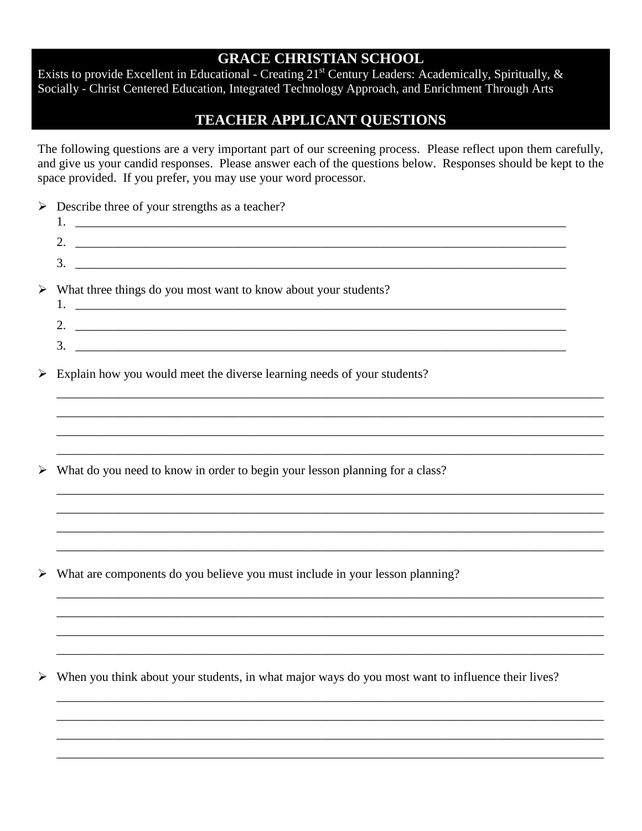# **GRACE CHRISTIAN SCHOOL**

Exists to provide Excellent in Educational - Creating 21<sup>st</sup> Century Leaders: Academically, Spiritually, & Socially - Christ Centered Education, Integrated Technology Approach, and Enrichment Through Arts

# **TEACHER APPLICANT QUESTIONS**

The following questions are a very important part of our screening process. Please reflect upon them carefully, and give us your candid responses. Please answer each of the questions below. Responses should be kept to the space provided. If you prefer, you may use your word processor.

| $\blacktriangleright$ | Describe three of your strengths as a teacher?<br>3.                                                                                                                                          |  |
|-----------------------|-----------------------------------------------------------------------------------------------------------------------------------------------------------------------------------------------|--|
| $\blacktriangleright$ | What three things do you most want to know about your students?<br>3.<br><u> 2000 - Jan James James Jan James James James James James James James James James James James James James Jam</u> |  |
| $\blacktriangleright$ | Explain how you would meet the diverse learning needs of your students?                                                                                                                       |  |
| ➤                     | What do you need to know in order to begin your lesson planning for a class?                                                                                                                  |  |
| $\blacktriangleright$ | What are components do you believe you must include in your lesson planning?                                                                                                                  |  |
| $\blacktriangleright$ | When you think about your students, in what major ways do you most want to influence their lives?                                                                                             |  |